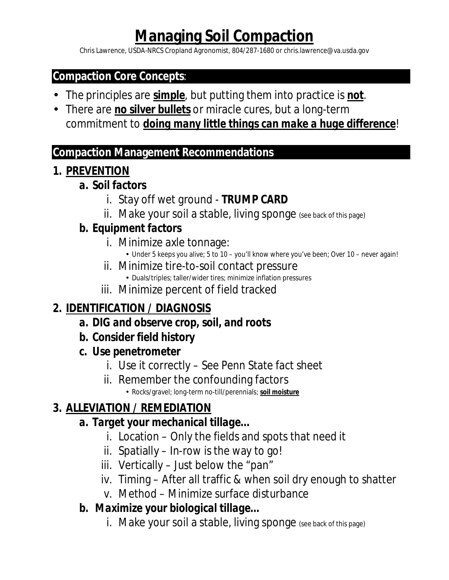# **Managing Soil Compaction**

Chris Lawrence, USDA-NRCS Cropland Agronomist, 804/287-1680 or chris.lawrence@va.usda.gov

#### **Compaction Core Concepts**:

- The principles are *simple*, but putting them into practice is *not*.
- There are *no silver bullets* or miracle cures, but a long-term commitment to *doing many little things can make a huge difference*!

#### **Compaction Management Recommendations**

**1. PREVENTION**

#### *a. Soil factors*

- i. Stay off wet ground *TRUMP CARD*
- ii. Make your soil a stable, living sponge (see back of this page)

#### *b. Equipment factors*

- i. Minimize axle tonnage:
	- Under 5 keeps you alive; 5 to 10 you'll know where you've been; Over 10 never again!
- ii. Minimize tire-to-soil contact pressure • Duals/triples; taller/wider tires; minimize inflation pressures
- iii. Minimize percent of field tracked

## **2. IDENTIFICATION / DIAGNOSIS**

- *a. DIG and observe crop, soil, and roots*
- *b. Consider field history*
- *c. Use penetrometer*
	- i. Use it correctly See Penn State fact sheet
	- ii. Remember the confounding factors
		- Rocks/gravel; long-term no-till/perennials; *soil moisture*

## **3. ALLEVIATION / REMEDIATION**

- *a. Target your mechanical tillage…*
	- i. Location Only the fields and spots that need it
	- ii. Spatially In-row is the way to go!
	- iii. Vertically Just below the "pan"
	- iv. Timing After all traffic & when soil dry enough to shatter
	- v. Method Minimize surface disturbance
- *b. Maximize your biological tillage…*
	- i. Make your soil a stable, living sponge (see back of this page)